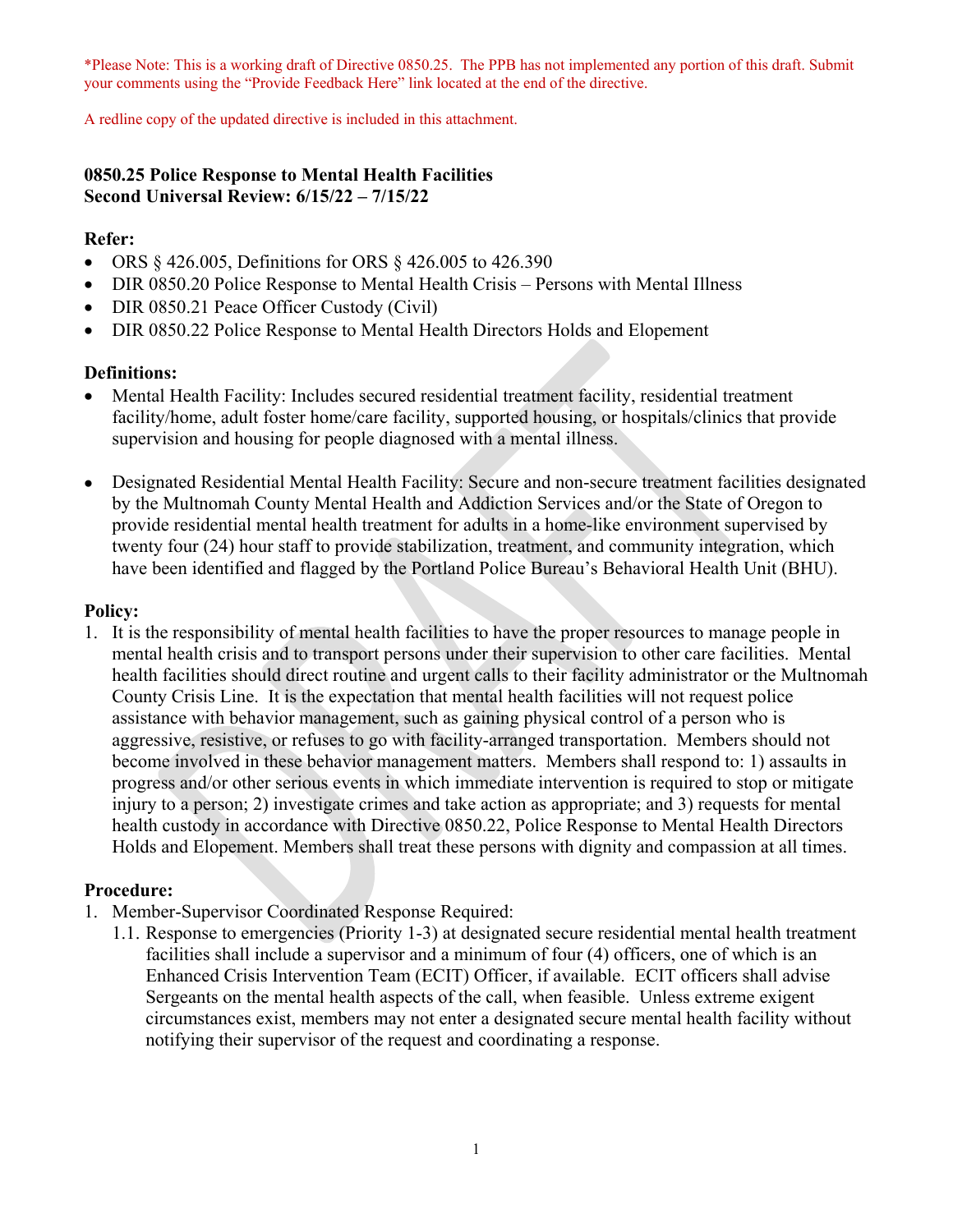\*Please Note: This is a working draft of Directive 0850.25. The PPB has not implemented any portion of this draft. Submit your comments using the "Provide Feedback Here" link located at the end of the directive.

A redline copy of the updated directive is included in this attachment.

## **0850.25 Police Response to Mental Health Facilities Second Universal Review: 6/15/22 – 7/15/22**

#### **Refer:**

- ORS § 426.005, Definitions for ORS § 426.005 to 426.390
- DIR 0850.20 Police Response to Mental Health Crisis Persons with Mental Illness
- DIR 0850.21 Peace Officer Custody (Civil)
- DIR 0850.22 Police Response to Mental Health Directors Holds and Elopement

#### **Definitions:**

- Mental Health Facility: Includes secured residential treatment facility, residential treatment facility/home, adult foster home/care facility, supported housing, or hospitals/clinics that provide supervision and housing for people diagnosed with a mental illness.
- Designated Residential Mental Health Facility: Secure and non-secure treatment facilities designated by the Multnomah County Mental Health and Addiction Services and/or the State of Oregon to provide residential mental health treatment for adults in a home-like environment supervised by twenty four (24) hour staff to provide stabilization, treatment, and community integration, which have been identified and flagged by the Portland Police Bureau's Behavioral Health Unit (BHU).

#### **Policy:**

1. It is the responsibility of mental health facilities to have the proper resources to manage people in mental health crisis and to transport persons under their supervision to other care facilities. Mental health facilities should direct routine and urgent calls to their facility administrator or the Multnomah County Crisis Line. It is the expectation that mental health facilities will not request police assistance with behavior management, such as gaining physical control of a person who is aggressive, resistive, or refuses to go with facility-arranged transportation. Members should not become involved in these behavior management matters. Members shall respond to: 1) assaults in progress and/or other serious events in which immediate intervention is required to stop or mitigate injury to a person; 2) investigate crimes and take action as appropriate; and 3) requests for mental health custody in accordance with Directive 0850.22, Police Response to Mental Health Directors Holds and Elopement. Members shall treat these persons with dignity and compassion at all times.

#### **Procedure:**

- 1. Member-Supervisor Coordinated Response Required:
	- 1.1. Response to emergencies (Priority 1-3) at designated secure residential mental health treatment facilities shall include a supervisor and a minimum of four (4) officers, one of which is an Enhanced Crisis Intervention Team (ECIT) Officer, if available. ECIT officers shall advise Sergeants on the mental health aspects of the call, when feasible. Unless extreme exigent circumstances exist, members may not enter a designated secure mental health facility without notifying their supervisor of the request and coordinating a response.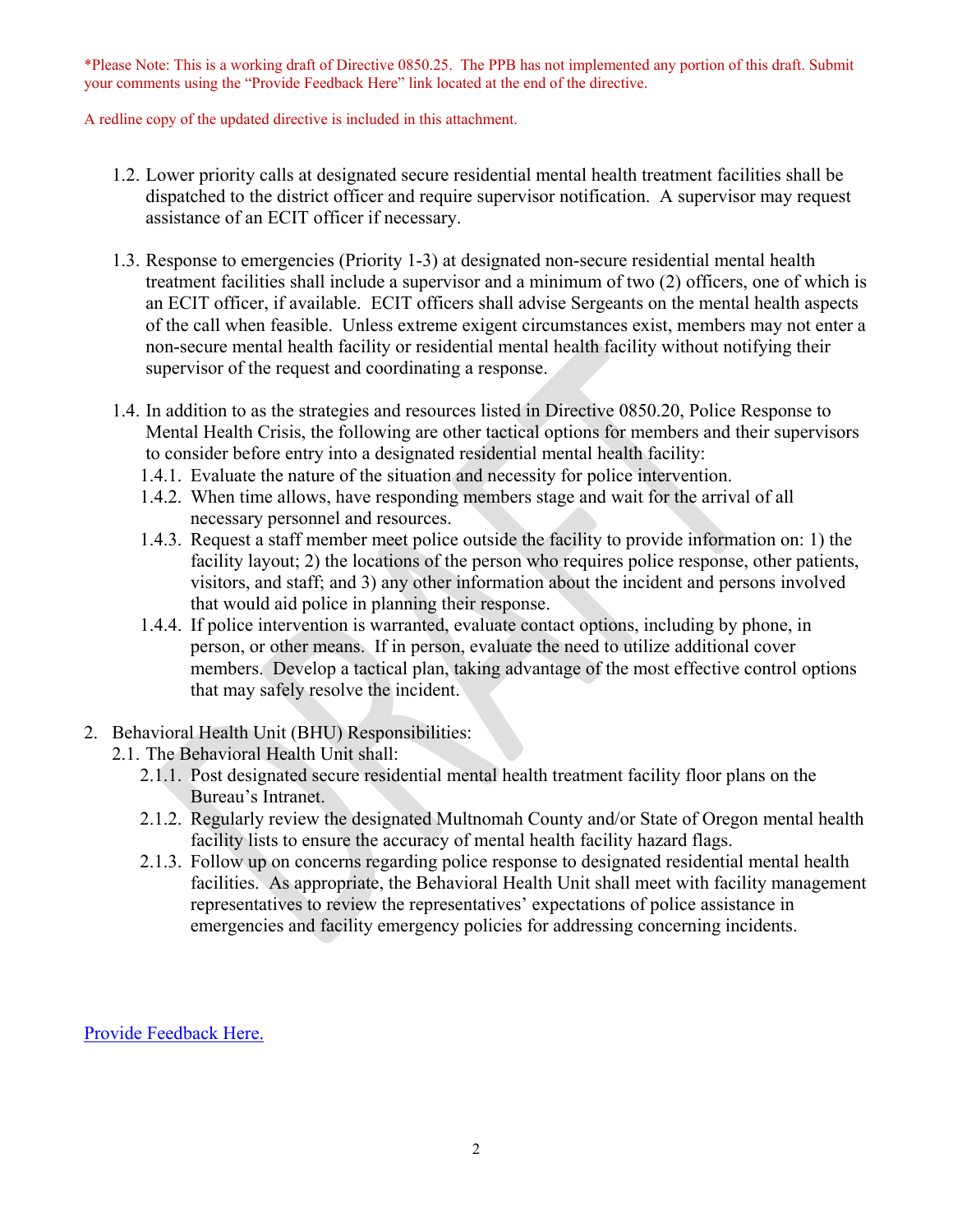\*Please Note: This is a working draft of Directive 0850.25. The PPB has not implemented any portion of this draft. Submit your comments using the "Provide Feedback Here" link located at the end of the directive.

A redline copy of the updated directive is included in this attachment.

- 1.2. Lower priority calls at designated secure residential mental health treatment facilities shall be dispatched to the district officer and require supervisor notification. A supervisor may request assistance of an ECIT officer if necessary.
- 1.3. Response to emergencies (Priority 1-3) at designated non-secure residential mental health treatment facilities shall include a supervisor and a minimum of two (2) officers, one of which is an ECIT officer, if available. ECIT officers shall advise Sergeants on the mental health aspects of the call when feasible. Unless extreme exigent circumstances exist, members may not enter a non-secure mental health facility or residential mental health facility without notifying their supervisor of the request and coordinating a response.
- 1.4. In addition to as the strategies and resources listed in Directive 0850.20, Police Response to Mental Health Crisis, the following are other tactical options for members and their supervisors to consider before entry into a designated residential mental health facility:
	- 1.4.1. Evaluate the nature of the situation and necessity for police intervention.
	- 1.4.2. When time allows, have responding members stage and wait for the arrival of all necessary personnel and resources.
	- 1.4.3. Request a staff member meet police outside the facility to provide information on: 1) the facility layout; 2) the locations of the person who requires police response, other patients, visitors, and staff; and 3) any other information about the incident and persons involved that would aid police in planning their response.
	- 1.4.4. If police intervention is warranted, evaluate contact options, including by phone, in person, or other means. If in person, evaluate the need to utilize additional cover members. Develop a tactical plan, taking advantage of the most effective control options that may safely resolve the incident.
- 2. Behavioral Health Unit (BHU) Responsibilities:
	- 2.1. The Behavioral Health Unit shall:
		- 2.1.1. Post designated secure residential mental health treatment facility floor plans on the Bureau's Intranet.
		- 2.1.2. Regularly review the designated Multnomah County and/or State of Oregon mental health facility lists to ensure the accuracy of mental health facility hazard flags.
		- 2.1.3. Follow up on concerns regarding police response to designated residential mental health facilities. As appropriate, the Behavioral Health Unit shall meet with facility management representatives to review the representatives' expectations of police assistance in emergencies and facility emergency policies for addressing concerning incidents.

[Provide Feedback Here.](https://www.surveymonkey.com/r/JKT82H8)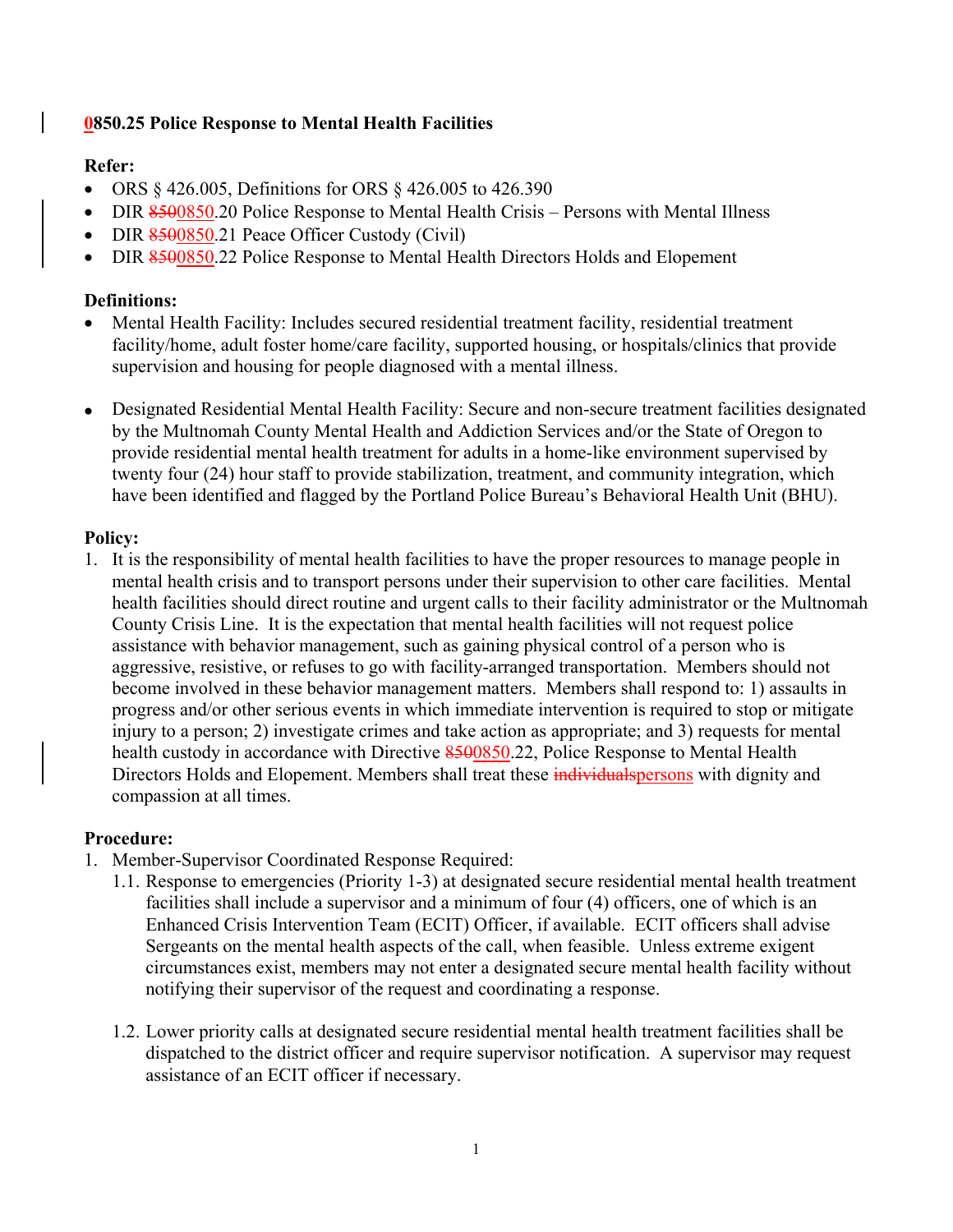## **0850.25 Police Response to Mental Health Facilities**

## **Refer:**

- ORS § 426.005, Definitions for ORS § 426.005 to 426.390
- DIR 8500850.20 Police Response to Mental Health Crisis Persons with Mental Illness
- DIR 8500850.21 Peace Officer Custody (Civil)
- DIR 8500850.22 Police Response to Mental Health Directors Holds and Elopement

## **Definitions:**

- Mental Health Facility: Includes secured residential treatment facility, residential treatment facility/home, adult foster home/care facility, supported housing, or hospitals/clinics that provide supervision and housing for people diagnosed with a mental illness.
- Designated Residential Mental Health Facility: Secure and non-secure treatment facilities designated by the Multnomah County Mental Health and Addiction Services and/or the State of Oregon to provide residential mental health treatment for adults in a home-like environment supervised by twenty four (24) hour staff to provide stabilization, treatment, and community integration, which have been identified and flagged by the Portland Police Bureau's Behavioral Health Unit (BHU).

#### **Policy:**

1. It is the responsibility of mental health facilities to have the proper resources to manage people in mental health crisis and to transport persons under their supervision to other care facilities. Mental health facilities should direct routine and urgent calls to their facility administrator or the Multnomah County Crisis Line. It is the expectation that mental health facilities will not request police assistance with behavior management, such as gaining physical control of a person who is aggressive, resistive, or refuses to go with facility-arranged transportation. Members should not become involved in these behavior management matters. Members shall respond to: 1) assaults in progress and/or other serious events in which immediate intervention is required to stop or mitigate injury to a person; 2) investigate crimes and take action as appropriate; and 3) requests for mental health custody in accordance with Directive 8500850.22, Police Response to Mental Health Directors Holds and Elopement. Members shall treat these individual spersons with dignity and compassion at all times.

#### **Procedure:**

- 1. Member-Supervisor Coordinated Response Required:
	- 1.1. Response to emergencies (Priority 1-3) at designated secure residential mental health treatment facilities shall include a supervisor and a minimum of four (4) officers, one of which is an Enhanced Crisis Intervention Team (ECIT) Officer, if available. ECIT officers shall advise Sergeants on the mental health aspects of the call, when feasible. Unless extreme exigent circumstances exist, members may not enter a designated secure mental health facility without notifying their supervisor of the request and coordinating a response.
	- 1.2. Lower priority calls at designated secure residential mental health treatment facilities shall be dispatched to the district officer and require supervisor notification. A supervisor may request assistance of an ECIT officer if necessary.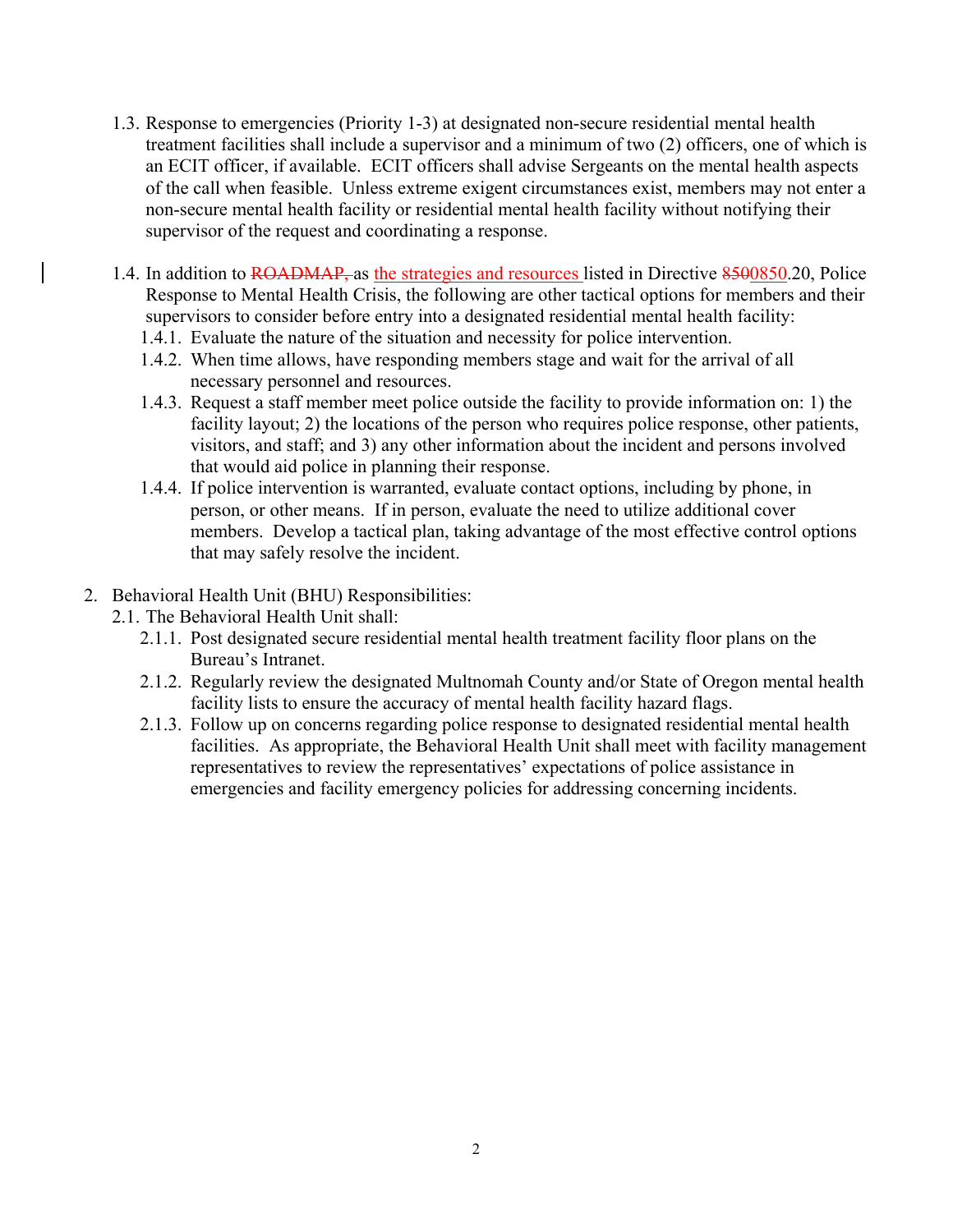- 1.3. Response to emergencies (Priority 1-3) at designated non-secure residential mental health treatment facilities shall include a supervisor and a minimum of two (2) officers, one of which is an ECIT officer, if available. ECIT officers shall advise Sergeants on the mental health aspects of the call when feasible. Unless extreme exigent circumstances exist, members may not enter a non-secure mental health facility or residential mental health facility without notifying their supervisor of the request and coordinating a response.
- 1.4. In addition to ROADMAP, as the strategies and resources listed in Directive 8500850.20, Police Response to Mental Health Crisis, the following are other tactical options for members and their supervisors to consider before entry into a designated residential mental health facility:
	- 1.4.1. Evaluate the nature of the situation and necessity for police intervention.
	- 1.4.2. When time allows, have responding members stage and wait for the arrival of all necessary personnel and resources.
	- 1.4.3. Request a staff member meet police outside the facility to provide information on: 1) the facility layout; 2) the locations of the person who requires police response, other patients, visitors, and staff; and 3) any other information about the incident and persons involved that would aid police in planning their response.
	- 1.4.4. If police intervention is warranted, evaluate contact options, including by phone, in person, or other means. If in person, evaluate the need to utilize additional cover members. Develop a tactical plan, taking advantage of the most effective control options that may safely resolve the incident.
- 2. Behavioral Health Unit (BHU) Responsibilities:
	- 2.1. The Behavioral Health Unit shall:
		- 2.1.1. Post designated secure residential mental health treatment facility floor plans on the Bureau's Intranet.
		- 2.1.2. Regularly review the designated Multnomah County and/or State of Oregon mental health facility lists to ensure the accuracy of mental health facility hazard flags.
		- 2.1.3. Follow up on concerns regarding police response to designated residential mental health facilities. As appropriate, the Behavioral Health Unit shall meet with facility management representatives to review the representatives' expectations of police assistance in emergencies and facility emergency policies for addressing concerning incidents.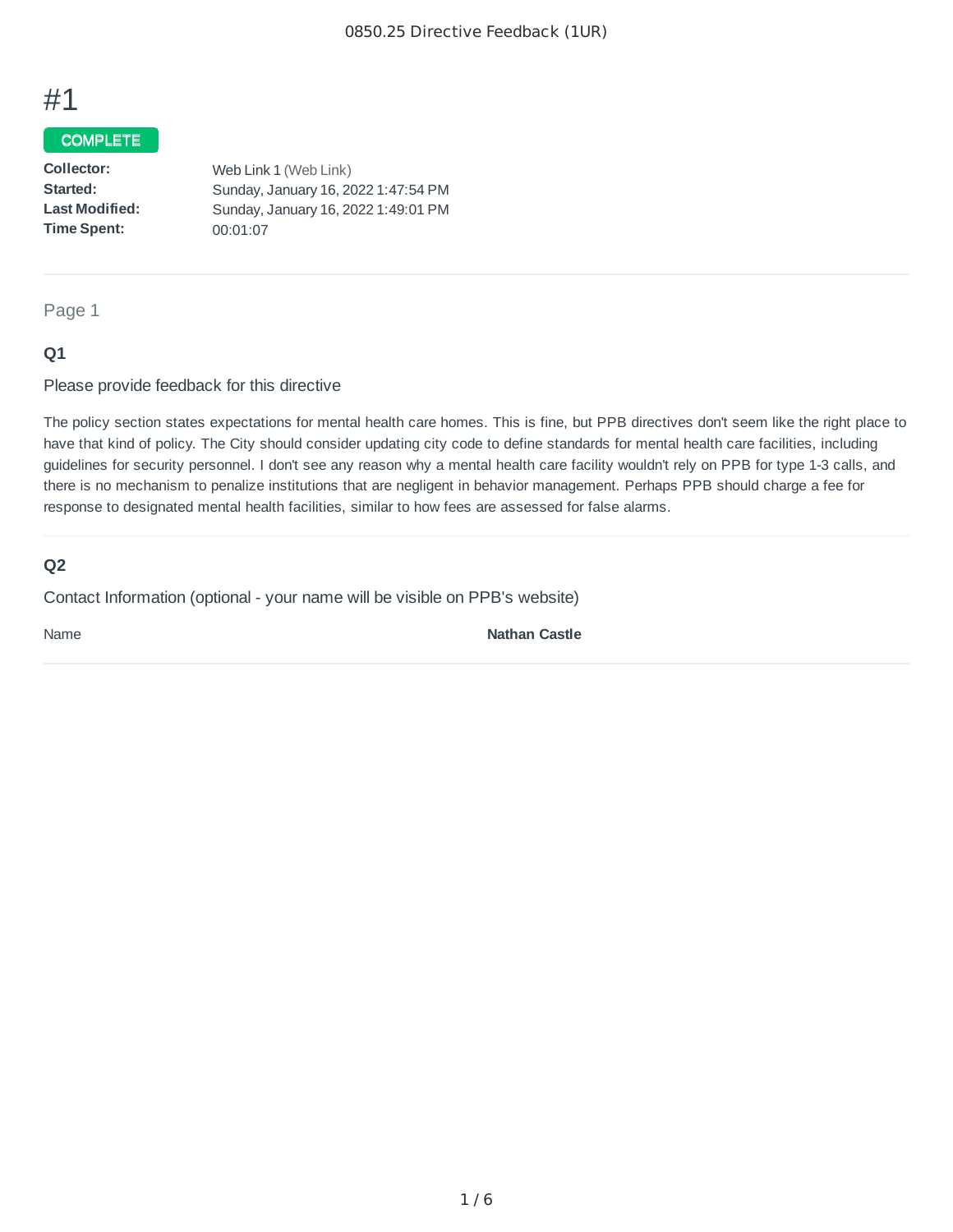# #1

## COMPLETE

| Collector:            | Web Link 1 (Web Link)               |
|-----------------------|-------------------------------------|
| Started:              | Sunday, January 16, 2022 1:47:54 PM |
| <b>Last Modified:</b> | Sunday, January 16, 2022 1:49:01 PM |
| <b>Time Spent:</b>    | 00:01:07                            |

Page 1

#### **Q1**

Please provide feedback for this directive

The policy section states expectations for mental health care homes. This is fine, but PPB directives don't seem like the right place to have that kind of policy. The City should consider updating city code to define standards for mental health care facilities, including guidelines for security personnel. I don't see any reason why a mental health care facility wouldn't rely on PPB for type 1-3 calls, and there is no mechanism to penalize institutions that are negligent in behavior management. Perhaps PPB should charge a fee for response to designated mental health facilities, similar to how fees are assessed for false alarms.

## **Q2**

Contact Information (optional - your name will be visible on PPB's website)

Name **Nathan Castle**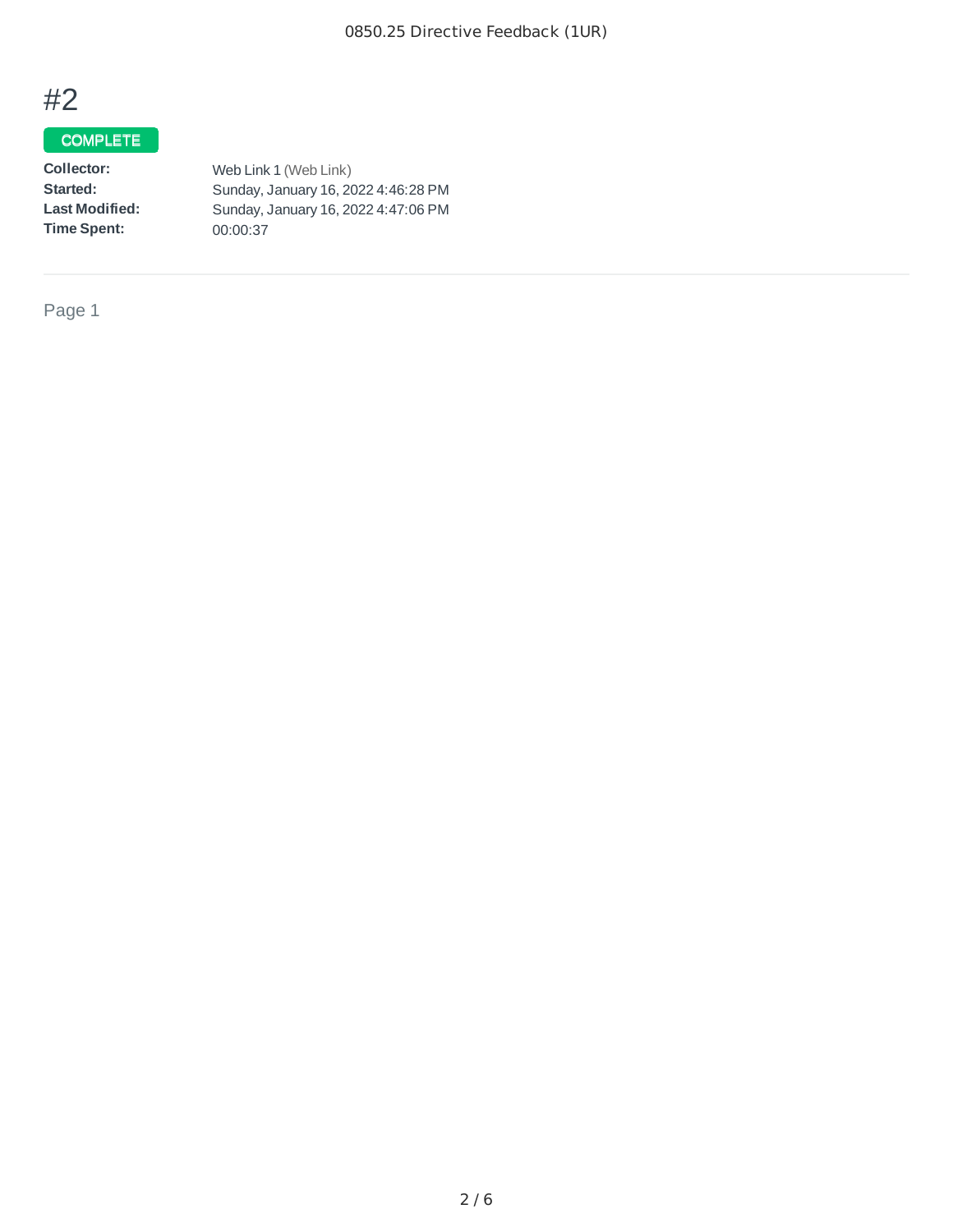# #2

## **COMPLETE**

**Collector:: Started: : Last Modified:: Time Spent::**  Web Link 1 (Web Link) Sunday, January 16, 2022 4:46:28 PM Sunday, January 16, 2022 4:47:06 PM 00:00:37

Page 1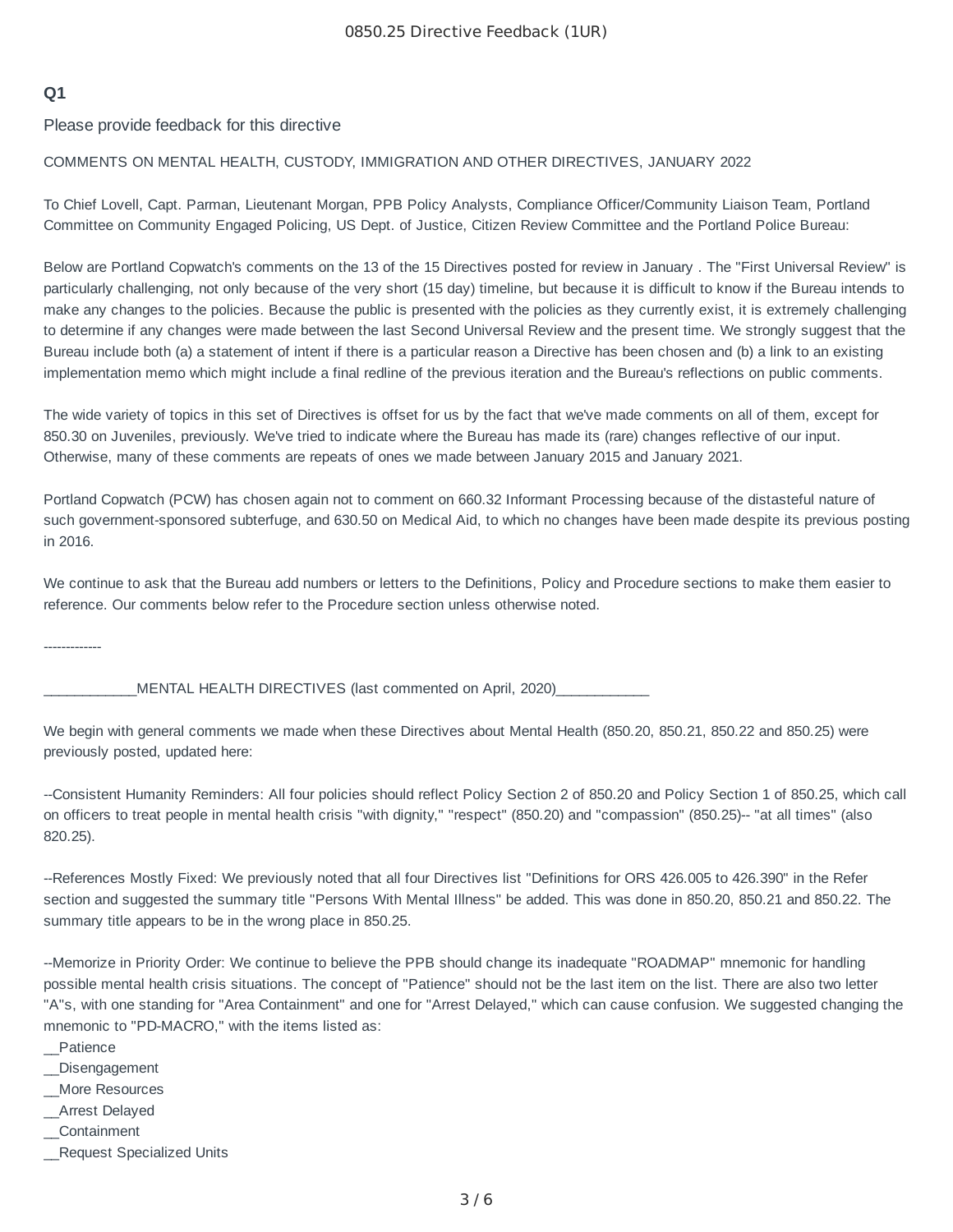#### **Q1**

Please provide feedback for this directive

#### COMMENTS ON MENTAL HEALTH, CUSTODY, IMMIGRATION AND OTHER DIRECTIVES, JANUARY 2022

To Chief Lovell, Capt. Parman, Lieutenant Morgan, PPB Policy Analysts, Compliance Officer/Community Liaison Team, Portland Committee on Community Engaged Policing, US Dept. of Justice, Citizen Review Committee and the Portland Police Bureau:

Below are Portland Copwatch's comments on the 13 of the 15 Directives posted for review in January . The "First Universal Review" is particularly challenging, not only because of the very short (15 day) timeline, but because it is difficult to know if the Bureau intends to make any changes to the policies. Because the public is presented with the policies as they currently exist, it is extremely challenging to determine if any changes were made between the last Second Universal Review and the present time. We strongly suggest that the Bureau include both (a) a statement of intent if there is a particular reason a Directive has been chosen and (b) a link to an existing implementation memo which might include a final redline of the previous iteration and the Bureau's reflections on public comments.

The wide variety of topics in this set of Directives is offset for us by the fact that we've made comments on all of them, except for 850.30 on Juveniles, previously. We've tried to indicate where the Bureau has made its (rare) changes reflective of our input. Otherwise, many of these comments are repeats of ones we made between January 2015 and January 2021.

Portland Copwatch (PCW) has chosen again not to comment on 660.32 Informant Processing because of the distasteful nature of such government-sponsored subterfuge, and 630.50 on Medical Aid, to which no changes have been made despite its previous posting in 2016.

We continue to ask that the Bureau add numbers or letters to the Definitions, Policy and Procedure sections to make them easier to reference. Our comments below refer to the Procedure section unless otherwise noted.

-------------

MENTAL HEALTH DIRECTIVES (last commented on April, 2020)

We begin with general comments we made when these Directives about Mental Health (850.20, 850.21, 850.22 and 850.25) were previously posted, updated here:

--Consistent Humanity Reminders: All four policies should reflect Policy Section 2 of 850.20 and Policy Section 1 of 850.25, which call on officers to treat people in mental health crisis "with dignity," "respect" (850.20) and "compassion" (850.25)-- "at all times" (also 820.25).

--References Mostly Fixed: We previously noted that all four Directives list "Definitions for ORS 426.005 to 426.390" in the Refer section and suggested the summary title "Persons With Mental Illness" be added. This was done in 850.20, 850.21 and 850.22. The summary title appears to be in the wrong place in 850.25.

--Memorize in Priority Order: We continue to believe the PPB should change its inadequate "ROADMAP" mnemonic for handling possible mental health crisis situations. The concept of "Patience" should not be the last item on the list. There are also two letter "A"s, with one standing for "Area Containment" and one for "Arrest Delayed," which can cause confusion. We suggested changing the mnemonic to "PD-MACRO," with the items listed as:

- \_\_Patience
- \_\_Disengagement
- \_\_More Resources
- \_\_Arrest Delayed
- \_\_Containment
- \_\_Request Specialized Units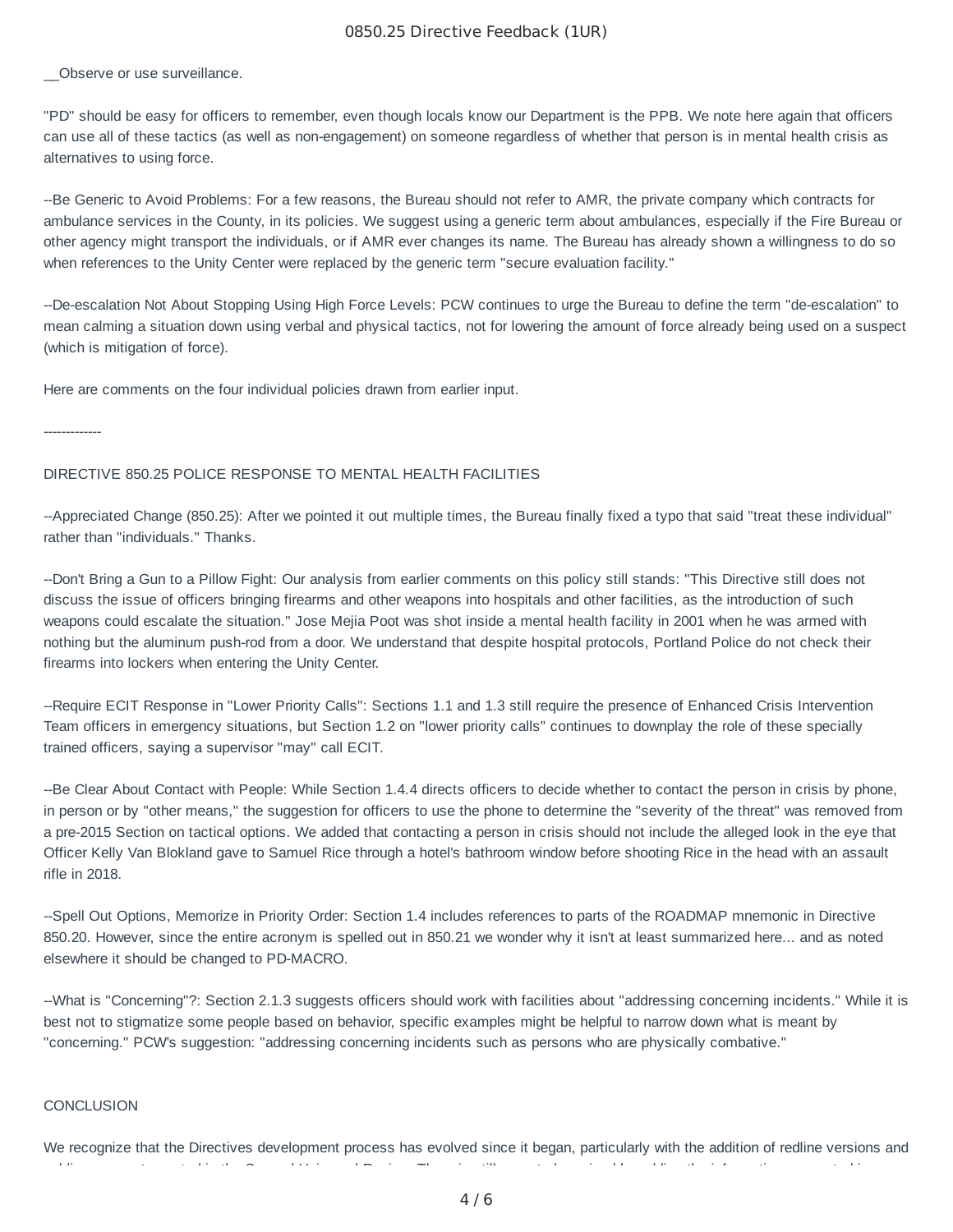#### 0850.25 Directive Feedback (1UR)

Observe or use surveillance.

"PD" should be easy for officers to remember, even though locals know our Department is the PPB. We note here again that officers can use all of these tactics (as well as non-engagement) on someone regardless of whether that person is in mental health crisis as alternatives to using force.

--Be Generic to Avoid Problems: For a few reasons, the Bureau should not refer to AMR, the private company which contracts for ambulance services in the County, in its policies. We suggest using a generic term about ambulances, especially if the Fire Bureau or other agency might transport the individuals, or if AMR ever changes its name. The Bureau has already shown a willingness to do so when references to the Unity Center were replaced by the generic term "secure evaluation facility."

--De-escalation Not About Stopping Using High Force Levels: PCW continues to urge the Bureau to define the term "de-escalation" to mean calming a situation down using verbal and physical tactics, not for lowering the amount of force already being used on a suspect (which is mitigation of force).

Here are comments on the four individual policies drawn from earlier input.

-------------

#### DIRECTIVE 850.25 POLICE RESPONSE TO MENTAL HEALTH FACILITIES

--Appreciated Change (850.25): After we pointed it out multiple times, the Bureau finally fixed a typo that said "treat these individual" rather than "individuals." Thanks.

--Don't Bring a Gun to a Pillow Fight: Our analysis from earlier comments on this policy still stands: "This Directive still does not discuss the issue of officers bringing firearms and other weapons into hospitals and other facilities, as the introduction of such weapons could escalate the situation." Jose Mejia Poot was shot inside a mental health facility in 2001 when he was armed with nothing but the aluminum push-rod from a door. We understand that despite hospital protocols, Portland Police do not check their firearms into lockers when entering the Unity Center.

--Require ECIT Response in "Lower Priority Calls": Sections 1.1 and 1.3 still require the presence of Enhanced Crisis Intervention Team officers in emergency situations, but Section 1.2 on "lower priority calls" continues to downplay the role of these specially trained officers, saying a supervisor "may" call ECIT.

--Be Clear About Contact with People: While Section 1.4.4 directs officers to decide whether to contact the person in crisis by phone, in person or by "other means," the suggestion for officers to use the phone to determine the "severity of the threat" was removed from a pre-2015 Section on tactical options. We added that contacting a person in crisis should not include the alleged look in the eye that Officer Kelly Van Blokland gave to Samuel Rice through a hotel's bathroom window before shooting Rice in the head with an assault rifle in 2018.

--Spell Out Options, Memorize in Priority Order: Section 1.4 includes references to parts of the ROADMAP mnemonic in Directive 850.20. However, since the entire acronym is spelled out in 850.21 we wonder why it isn't at least summarized here... and as noted elsewhere it should be changed to PD-MACRO.

--What is "Concerning"?: Section 2.1.3 suggests officers should work with facilities about "addressing concerning incidents." While it is best not to stigmatize some people based on behavior, specific examples might be helpful to narrow down what is meant by "concerning." PCW's suggestion: "addressing concerning incidents such as persons who are physically combative."

#### **CONCLUSION**

We recognize that the Directives development process has evolved since it began, particularly with the addition of redline versions and bli t t d i th S d U i l R i Th i till t b i d b ddi th i f ti t d i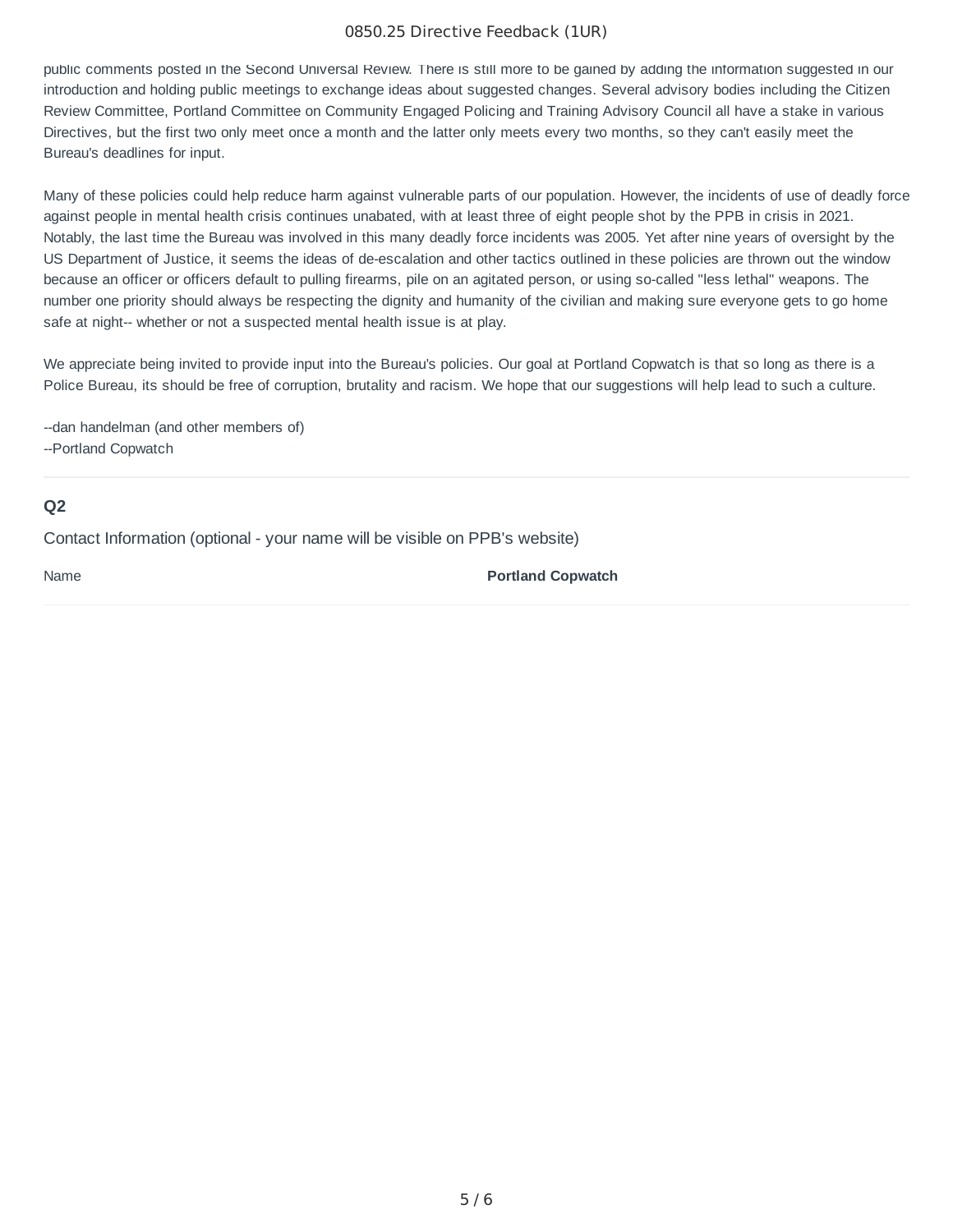#### 0850.25 Directive Feedback (1UR)

public comments posted in the Second Universal Review. There is still more to be gained by adding the information suggested in our introduction and holding public meetings to exchange ideas about suggested changes. Several advisory bodies including the Citizen Review Committee, Portland Committee on Community Engaged Policing and Training Advisory Council all have a stake in various Directives, but the first two only meet once a month and the latter only meets every two months, so they can't easily meet the Bureau's deadlines for input.

Many of these policies could help reduce harm against vulnerable parts of our population. However, the incidents of use of deadly force against people in mental health crisis continues unabated, with at least three of eight people shot by the PPB in crisis in 2021. Notably, the last time the Bureau was involved in this many deadly force incidents was 2005. Yet after nine years of oversight by the US Department of Justice, it seems the ideas of de-escalation and other tactics outlined in these policies are thrown out the window because an officer or officers default to pulling firearms, pile on an agitated person, or using so-called "less lethal" weapons. The number one priority should always be respecting the dignity and humanity of the civilian and making sure everyone gets to go home safe at night-- whether or not a suspected mental health issue is at play.

We appreciate being invited to provide input into the Bureau's policies. Our goal at Portland Copwatch is that so long as there is a Police Bureau, its should be free of corruption, brutality and racism. We hope that our suggestions will help lead to such a culture.

--dan handelman (and other members of)

--Portland Copwatch

#### **Q2**

Contact Information (optional - your name will be visible on PPB's website)

Name **Portland Copwatch**